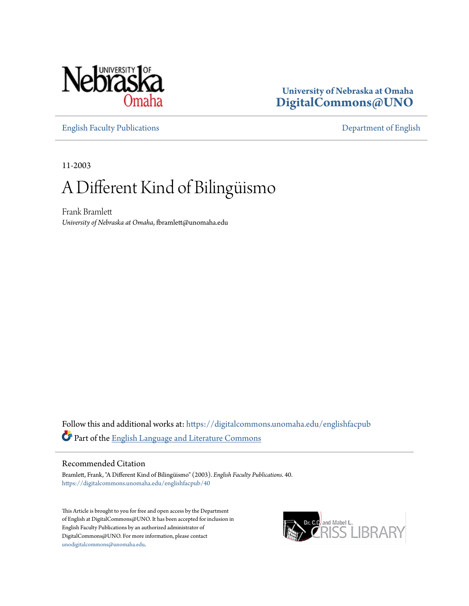

### **University of Nebraska at Omaha [DigitalCommons@UNO](https://digitalcommons.unomaha.edu?utm_source=digitalcommons.unomaha.edu%2Fenglishfacpub%2F40&utm_medium=PDF&utm_campaign=PDFCoverPages)**

[English Faculty Publications](https://digitalcommons.unomaha.edu/englishfacpub?utm_source=digitalcommons.unomaha.edu%2Fenglishfacpub%2F40&utm_medium=PDF&utm_campaign=PDFCoverPages) [Department of English](https://digitalcommons.unomaha.edu/english?utm_source=digitalcommons.unomaha.edu%2Fenglishfacpub%2F40&utm_medium=PDF&utm_campaign=PDFCoverPages)

11-2003

## A Different Kind of Bilingüismo

Frank Bramlett *University of Nebraska at Omaha*, fbramlett@unomaha.edu

Follow this and additional works at: [https://digitalcommons.unomaha.edu/englishfacpub](https://digitalcommons.unomaha.edu/englishfacpub?utm_source=digitalcommons.unomaha.edu%2Fenglishfacpub%2F40&utm_medium=PDF&utm_campaign=PDFCoverPages) Part of the [English Language and Literature Commons](http://network.bepress.com/hgg/discipline/455?utm_source=digitalcommons.unomaha.edu%2Fenglishfacpub%2F40&utm_medium=PDF&utm_campaign=PDFCoverPages)

#### Recommended Citation

Bramlett, Frank, "A Different Kind of Bilingüismo" (2003). *English Faculty Publications*. 40. [https://digitalcommons.unomaha.edu/englishfacpub/40](https://digitalcommons.unomaha.edu/englishfacpub/40?utm_source=digitalcommons.unomaha.edu%2Fenglishfacpub%2F40&utm_medium=PDF&utm_campaign=PDFCoverPages)

This Article is brought to you for free and open access by the Department of English at DigitalCommons@UNO. It has been accepted for inclusion in English Faculty Publications by an authorized administrator of DigitalCommons@UNO. For more information, please contact [unodigitalcommons@unomaha.edu](mailto:unodigitalcommons@unomaha.edu).